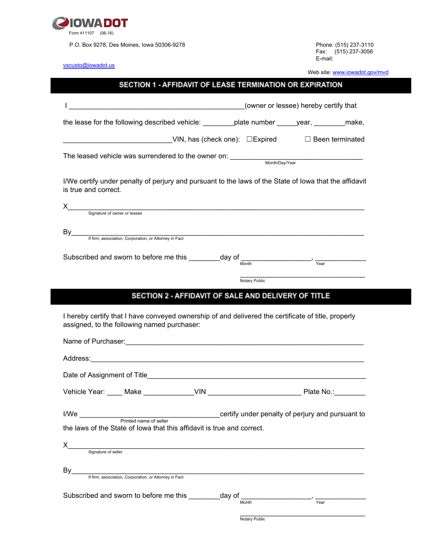

P.O. Box 9278, Des Moines, Iowa 50306-9278

Fax: (515) 237-3056 E-mail:

[vscusto@iowadot.us](mailto:vscusto@iowadot.us)

Web site: [www.iowadot.gov/mvd](http://www.iowadot.gov/mvd)

## SECTION 1 - AFFIDAVIT OF LEASE TERMINATION OR EXPIRATION

| the lease for the following described vehicle: __________plate number ______year, __________make,                                                                                                                                                                                                                                                                                          |                                                     |                                                  |
|--------------------------------------------------------------------------------------------------------------------------------------------------------------------------------------------------------------------------------------------------------------------------------------------------------------------------------------------------------------------------------------------|-----------------------------------------------------|--------------------------------------------------|
| VIN, has (check one): □Expired □ Been terminated                                                                                                                                                                                                                                                                                                                                           |                                                     |                                                  |
|                                                                                                                                                                                                                                                                                                                                                                                            |                                                     |                                                  |
| I/We certify under penalty of perjury and pursuant to the laws of the State of lowa that the affidavit<br>is true and correct.                                                                                                                                                                                                                                                             |                                                     |                                                  |
| Signature of owner or lessee                                                                                                                                                                                                                                                                                                                                                               |                                                     |                                                  |
| If firm, association, Corporation, or Attorney in Fact                                                                                                                                                                                                                                                                                                                                     |                                                     |                                                  |
|                                                                                                                                                                                                                                                                                                                                                                                            |                                                     |                                                  |
| Subscribed and sworn to before me this $\frac{1}{\text{float}}$ day of $\frac{1}{\text{Month}}$ , $\frac{1}{\text{Year}}$                                                                                                                                                                                                                                                                  |                                                     |                                                  |
|                                                                                                                                                                                                                                                                                                                                                                                            | Notary Public                                       |                                                  |
|                                                                                                                                                                                                                                                                                                                                                                                            | SECTION 2 - AFFIDAVIT OF SALE AND DELIVERY OF TITLE |                                                  |
| I hereby certify that I have conveyed ownership of and delivered the certificate of title, properly<br>assigned, to the following named purchaser:<br>Name of Purchaser: <u>Contract Contract Contract Contract Contract Contract Contract Contract Contract Contract Contract Contract Contract Contract Contract Contract Contract Contract Contract Contract Contract Contract Cont</u> |                                                     |                                                  |
|                                                                                                                                                                                                                                                                                                                                                                                            |                                                     |                                                  |
|                                                                                                                                                                                                                                                                                                                                                                                            |                                                     |                                                  |
|                                                                                                                                                                                                                                                                                                                                                                                            |                                                     |                                                  |
| Vehicle Year: Make Make Make VIN Network of Plate No.:                                                                                                                                                                                                                                                                                                                                     |                                                     |                                                  |
| I/We<br>Printed name of seller<br>the laws of the State of lowa that this affidavit is true and correct.                                                                                                                                                                                                                                                                                   |                                                     |                                                  |
| х<br>Signature of seller                                                                                                                                                                                                                                                                                                                                                                   |                                                     | certify under penalty of perjury and pursuant to |
| By<br>If firm, association, Corporation, or Attorney in Fact                                                                                                                                                                                                                                                                                                                               |                                                     |                                                  |
| Subscribed and sworn to before me this __________ day of                                                                                                                                                                                                                                                                                                                                   | Month                                               | Year                                             |